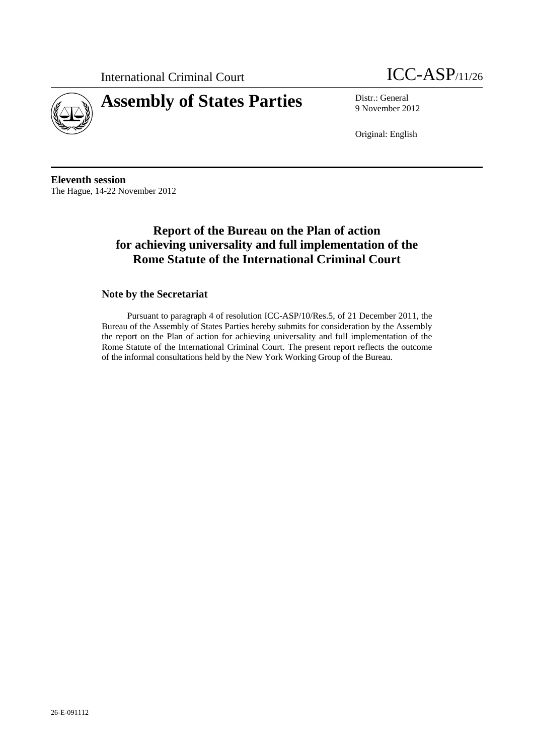



9 November 2012

Original: English

**Eleventh session**  The Hague, 14-22 November 2012

# **Report of the Bureau on the Plan of action for achieving universality and full implementation of the Rome Statute of the International Criminal Court**

## **Note by the Secretariat**

Pursuant to paragraph 4 of resolution ICC-ASP/10/Res.5, of 21 December 2011, the Bureau of the Assembly of States Parties hereby submits for consideration by the Assembly the report on the Plan of action for achieving universality and full implementation of the Rome Statute of the International Criminal Court. The present report reflects the outcome of the informal consultations held by the New York Working Group of the Bureau.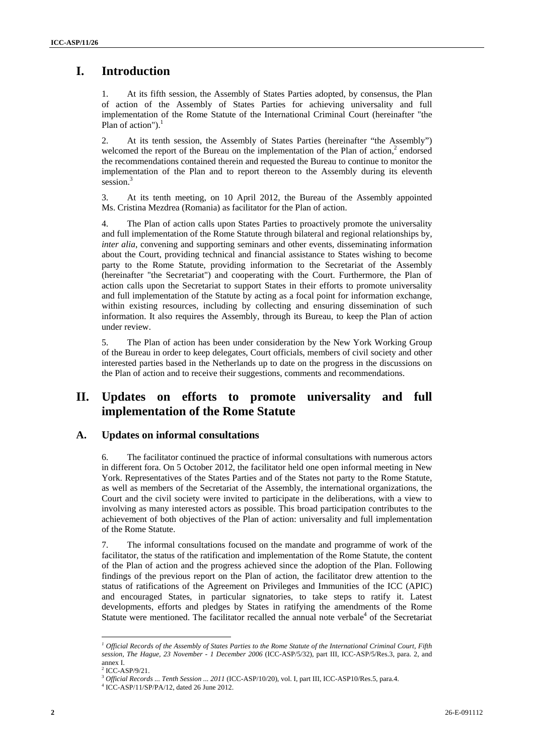# **I. Introduction**

1. At its fifth session, the Assembly of States Parties adopted, by consensus, the Plan of action of the Assembly of States Parties for achieving universality and full implementation of the Rome Statute of the International Criminal Court (hereinafter "the Plan of action"). $<sup>1</sup>$ </sup>

2. At its tenth session, the Assembly of States Parties (hereinafter "the Assembly") welcomed the report of the Bureau on the implementation of the Plan of action,<sup>2</sup> endorsed the recommendations contained therein and requested the Bureau to continue to monitor the implementation of the Plan and to report thereon to the Assembly during its eleventh session.<sup>3</sup>

3. At its tenth meeting, on 10 April 2012, the Bureau of the Assembly appointed Ms. Cristina Mezdrea (Romania) as facilitator for the Plan of action.

4. The Plan of action calls upon States Parties to proactively promote the universality and full implementation of the Rome Statute through bilateral and regional relationships by, *inter alia*, convening and supporting seminars and other events, disseminating information about the Court, providing technical and financial assistance to States wishing to become party to the Rome Statute, providing information to the Secretariat of the Assembly (hereinafter "the Secretariat") and cooperating with the Court. Furthermore, the Plan of action calls upon the Secretariat to support States in their efforts to promote universality and full implementation of the Statute by acting as a focal point for information exchange, within existing resources, including by collecting and ensuring dissemination of such information. It also requires the Assembly, through its Bureau, to keep the Plan of action under review.

5. The Plan of action has been under consideration by the New York Working Group of the Bureau in order to keep delegates, Court officials, members of civil society and other interested parties based in the Netherlands up to date on the progress in the discussions on the Plan of action and to receive their suggestions, comments and recommendations.

# **II. Updates on efforts to promote universality and full implementation of the Rome Statute**

## **A. Updates on informal consultations**

6. The facilitator continued the practice of informal consultations with numerous actors in different fora. On 5 October 2012, the facilitator held one open informal meeting in New York. Representatives of the States Parties and of the States not party to the Rome Statute, as well as members of the Secretariat of the Assembly, the international organizations, the Court and the civil society were invited to participate in the deliberations, with a view to involving as many interested actors as possible. This broad participation contributes to the achievement of both objectives of the Plan of action: universality and full implementation of the Rome Statute.

7. The informal consultations focused on the mandate and programme of work of the facilitator, the status of the ratification and implementation of the Rome Statute, the content of the Plan of action and the progress achieved since the adoption of the Plan. Following findings of the previous report on the Plan of action, the facilitator drew attention to the status of ratifications of the Agreement on Privileges and Immunities of the ICC (APIC) and encouraged States, in particular signatories, to take steps to ratify it. Latest developments, efforts and pledges by States in ratifying the amendments of the Rome Statute were mentioned. The facilitator recalled the annual note verbale<sup>4</sup> of the Secretariat

*<sup>1</sup> Official Records of the Assembly of States Parties to the Rome Statute of the International Criminal Court, Fifth session, The Hague, 23 November - 1 December 2006* (ICC-ASP/5/32), part III, ICC-ASP/5/Res.3, para. 2, and annex I.

 $2$  ICC-ASP/9/21.

<sup>3</sup>  *Official Records ... Tenth Session ... 2011* (ICC-ASP/10/20), vol. I, part III, ICC-ASP10/Res.5, para.4.

<sup>4</sup> ICC-ASP/11/SP/PA/12, dated 26 June 2012.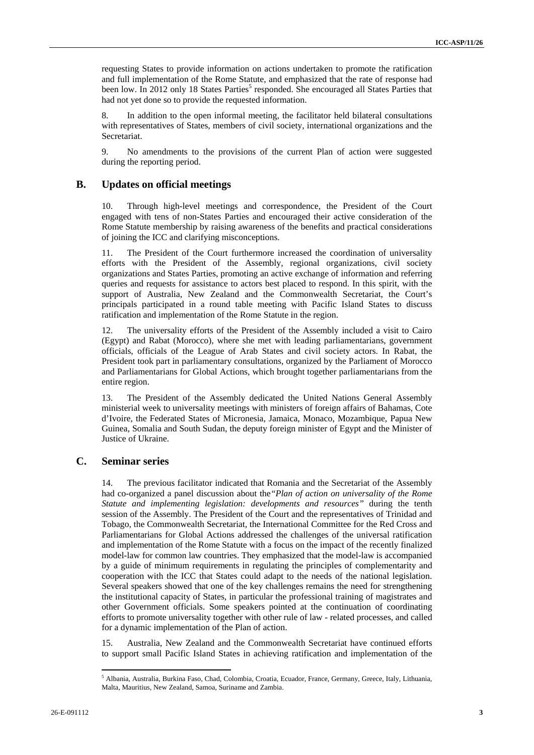requesting States to provide information on actions undertaken to promote the ratification and full implementation of the Rome Statute, and emphasized that the rate of response had been low. In 2012 only 18 States Parties<sup>5</sup> responded. She encouraged all States Parties that had not yet done so to provide the requested information.

In addition to the open informal meeting, the facilitator held bilateral consultations with representatives of States, members of civil society, international organizations and the Secretariat.

9. No amendments to the provisions of the current Plan of action were suggested during the reporting period.

#### **B. Updates on official meetings**

10. Through high-level meetings and correspondence, the President of the Court engaged with tens of non-States Parties and encouraged their active consideration of the Rome Statute membership by raising awareness of the benefits and practical considerations of joining the ICC and clarifying misconceptions.

11. The President of the Court furthermore increased the coordination of universality efforts with the President of the Assembly, regional organizations, civil society organizations and States Parties, promoting an active exchange of information and referring queries and requests for assistance to actors best placed to respond. In this spirit, with the support of Australia, New Zealand and the Commonwealth Secretariat, the Court's principals participated in a round table meeting with Pacific Island States to discuss ratification and implementation of the Rome Statute in the region.

12. The universality efforts of the President of the Assembly included a visit to Cairo (Egypt) and Rabat (Morocco), where she met with leading parliamentarians, government officials, officials of the League of Arab States and civil society actors. In Rabat, the President took part in parliamentary consultations, organized by the Parliament of Morocco and Parliamentarians for Global Actions, which brought together parliamentarians from the entire region.

13. The President of the Assembly dedicated the United Nations General Assembly ministerial week to universality meetings with ministers of foreign affairs of Bahamas, Cote d'Ivoire, the Federated States of Micronesia, Jamaica, Monaco, Mozambique, Papua New Guinea, Somalia and South Sudan, the deputy foreign minister of Egypt and the Minister of Justice of Ukraine.

### **C. Seminar series**

14. The previous facilitator indicated that Romania and the Secretariat of the Assembly had co-organized a panel discussion about the*"Plan of action on universality of the Rome Statute and implementing legislation: developments and resources"* during the tenth session of the Assembly. The President of the Court and the representatives of Trinidad and Tobago, the Commonwealth Secretariat, the International Committee for the Red Cross and Parliamentarians for Global Actions addressed the challenges of the universal ratification and implementation of the Rome Statute with a focus on the impact of the recently finalized model-law for common law countries. They emphasized that the model-law is accompanied by a guide of minimum requirements in regulating the principles of complementarity and cooperation with the ICC that States could adapt to the needs of the national legislation. Several speakers showed that one of the key challenges remains the need for strengthening the institutional capacity of States, in particular the professional training of magistrates and other Government officials. Some speakers pointed at the continuation of coordinating efforts to promote universality together with other rule of law - related processes, and called for a dynamic implementation of the Plan of action.

15. Australia, New Zealand and the Commonwealth Secretariat have continued efforts to support small Pacific Island States in achieving ratification and implementation of the

<sup>5</sup> Albania, Australia, Burkina Faso, Chad, Colombia, Croatia, Ecuador, France, Germany, Greece, Italy, Lithuania, Malta, Mauritius, New Zealand, Samoa, Suriname and Zambia.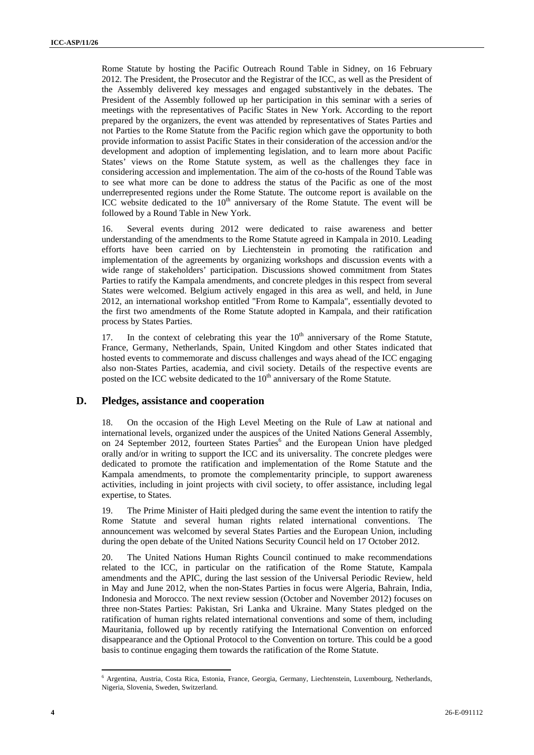Rome Statute by hosting the Pacific Outreach Round Table in Sidney, on 16 February 2012. The President, the Prosecutor and the Registrar of the ICC, as well as the President of the Assembly delivered key messages and engaged substantively in the debates. The President of the Assembly followed up her participation in this seminar with a series of meetings with the representatives of Pacific States in New York. According to the report prepared by the organizers, the event was attended by representatives of States Parties and not Parties to the Rome Statute from the Pacific region which gave the opportunity to both provide information to assist Pacific States in their consideration of the accession and/or the development and adoption of implementing legislation, and to learn more about Pacific States' views on the Rome Statute system, as well as the challenges they face in considering accession and implementation. The aim of the co-hosts of the Round Table was to see what more can be done to address the status of the Pacific as one of the most underrepresented regions under the Rome Statute. The outcome report is available on the ICC website dedicated to the  $10<sup>th</sup>$  anniversary of the Rome Statute. The event will be followed by a Round Table in New York.

16. Several events during 2012 were dedicated to raise awareness and better understanding of the amendments to the Rome Statute agreed in Kampala in 2010. Leading efforts have been carried on by Liechtenstein in promoting the ratification and implementation of the agreements by organizing workshops and discussion events with a wide range of stakeholders' participation. Discussions showed commitment from States Parties to ratify the Kampala amendments, and concrete pledges in this respect from several States were welcomed. Belgium actively engaged in this area as well, and held, in June 2012, an international workshop entitled "From Rome to Kampala", essentially devoted to the first two amendments of the Rome Statute adopted in Kampala, and their ratification process by States Parties.

17. In the context of celebrating this year the  $10<sup>th</sup>$  anniversary of the Rome Statute, France, Germany, Netherlands, Spain, United Kingdom and other States indicated that hosted events to commemorate and discuss challenges and ways ahead of the ICC engaging also non-States Parties, academia, and civil society. Details of the respective events are posted on the ICC website dedicated to the 10<sup>th</sup> anniversary of the Rome Statute.

#### **D. Pledges, assistance and cooperation**

18. On the occasion of the High Level Meeting on the Rule of Law at national and international levels, organized under the auspices of the United Nations General Assembly, on 24 September 2012, fourteen States Parties<sup>6</sup> and the European Union have pledged orally and/or in writing to support the ICC and its universality. The concrete pledges were dedicated to promote the ratification and implementation of the Rome Statute and the Kampala amendments, to promote the complementarity principle, to support awareness activities, including in joint projects with civil society, to offer assistance, including legal expertise, to States.

19. The Prime Minister of Haiti pledged during the same event the intention to ratify the Rome Statute and several human rights related international conventions. The announcement was welcomed by several States Parties and the European Union, including during the open debate of the United Nations Security Council held on 17 October 2012.

20. The United Nations Human Rights Council continued to make recommendations related to the ICC, in particular on the ratification of the Rome Statute, Kampala amendments and the APIC, during the last session of the Universal Periodic Review, held in May and June 2012, when the non-States Parties in focus were Algeria, Bahrain, India, Indonesia and Morocco. The next review session (October and November 2012) focuses on three non-States Parties: Pakistan, Sri Lanka and Ukraine. Many States pledged on the ratification of human rights related international conventions and some of them, including Mauritania, followed up by recently ratifying the International Convention on enforced disappearance and the Optional Protocol to the Convention on torture. This could be a good basis to continue engaging them towards the ratification of the Rome Statute.

<sup>6</sup> Argentina, Austria, Costa Rica, Estonia, France, Georgia, Germany, Liechtenstein, Luxembourg, Netherlands, Nigeria, Slovenia, Sweden, Switzerland.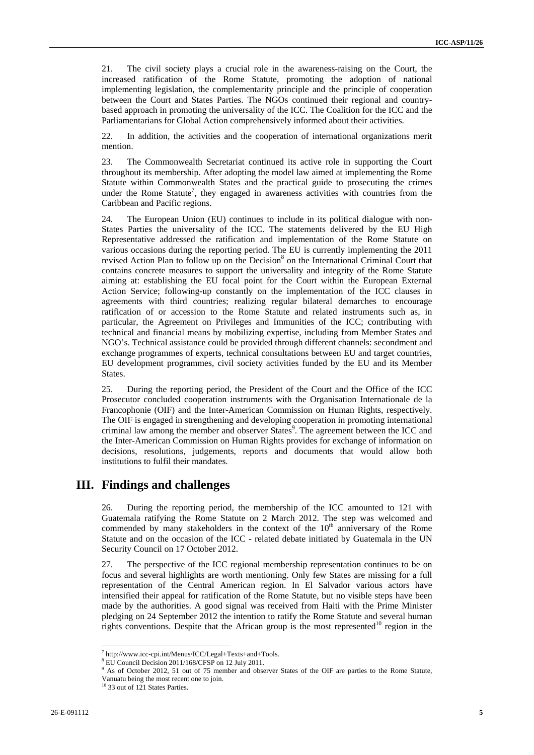21. The civil society plays a crucial role in the awareness-raising on the Court, the increased ratification of the Rome Statute, promoting the adoption of national implementing legislation, the complementarity principle and the principle of cooperation between the Court and States Parties. The NGOs continued their regional and countrybased approach in promoting the universality of the ICC. The Coalition for the ICC and the Parliamentarians for Global Action comprehensively informed about their activities.

22. In addition, the activities and the cooperation of international organizations merit mention.

23. The Commonwealth Secretariat continued its active role in supporting the Court throughout its membership. After adopting the model law aimed at implementing the Rome Statute within Commonwealth States and the practical guide to prosecuting the crimes under the Rome Statute<sup>7</sup>, they engaged in awareness activities with countries from the Caribbean and Pacific regions.

24. The European Union (EU) continues to include in its political dialogue with non-States Parties the universality of the ICC. The statements delivered by the EU High Representative addressed the ratification and implementation of the Rome Statute on various occasions during the reporting period. The EU is currently implementing the 2011 revised Action Plan to follow up on the Decision<sup>8</sup> on the International Criminal Court that contains concrete measures to support the universality and integrity of the Rome Statute aiming at: establishing the EU focal point for the Court within the European External Action Service; following-up constantly on the implementation of the ICC clauses in agreements with third countries; realizing regular bilateral demarches to encourage ratification of or accession to the Rome Statute and related instruments such as, in particular, the Agreement on Privileges and Immunities of the ICC; contributing with technical and financial means by mobilizing expertise, including from Member States and NGO's. Technical assistance could be provided through different channels: secondment and exchange programmes of experts, technical consultations between EU and target countries, EU development programmes, civil society activities funded by the EU and its Member States.

25. During the reporting period, the President of the Court and the Office of the ICC Prosecutor concluded cooperation instruments with the Organisation Internationale de la Francophonie (OIF) and the Inter-American Commission on Human Rights, respectively. The OIF is engaged in strengthening and developing cooperation in promoting international criminal law among the member and observer States<sup>9</sup>. The agreement between the ICC and the Inter-American Commission on Human Rights provides for exchange of information on decisions, resolutions, judgements, reports and documents that would allow both institutions to fulfil their mandates.

## **III. Findings and challenges**

26. During the reporting period, the membership of the ICC amounted to 121 with Guatemala ratifying the Rome Statute on 2 March 2012. The step was welcomed and commended by many stakeholders in the context of the  $10<sup>th</sup>$  anniversary of the Rome Statute and on the occasion of the ICC - related debate initiated by Guatemala in the UN Security Council on 17 October 2012.

27. The perspective of the ICC regional membership representation continues to be on focus and several highlights are worth mentioning. Only few States are missing for a full representation of the Central American region. In El Salvador various actors have intensified their appeal for ratification of the Rome Statute, but no visible steps have been made by the authorities. A good signal was received from Haiti with the Prime Minister pledging on 24 September 2012 the intention to ratify the Rome Statute and several human rights conventions. Despite that the African group is the most represented $10$  region in the

 $T$  http://www.icc-cpi.int/Menus/ICC/Legal+Texts+and+Tools.<br> $R$  ELL Council Decision 2011/168/CESB on 12 July 2011

<sup>&</sup>lt;sup>8</sup> EU Council Decision 2011/168/CFSP on 12 July 2011.

<sup>&</sup>lt;sup>9</sup> As of October 2012, 51 out of 75 member and observer States of the OIF are parties to the Rome Statute,

Vanuatu being the most recent one to join.

<sup>&</sup>lt;sup>10</sup> 33 out of 121 States Parties.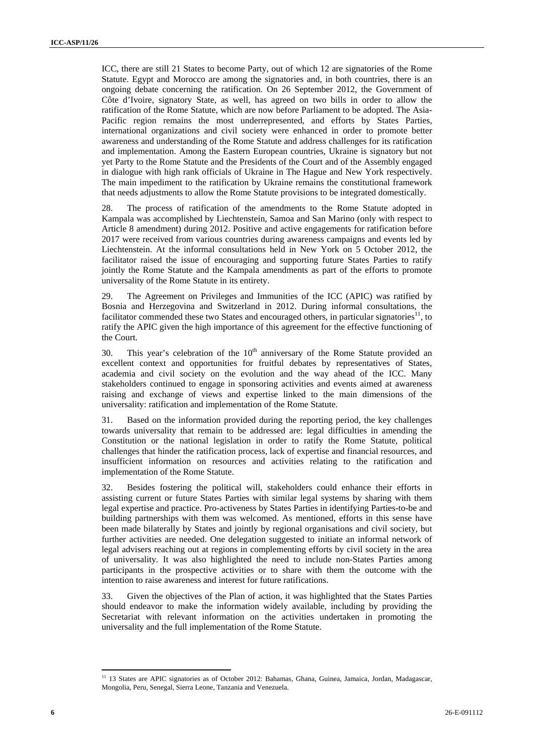ICC, there are still 21 States to become Party, out of which 12 are signatories of the Rome Statute. Egypt and Morocco are among the signatories and, in both countries, there is an ongoing debate concerning the ratification. On 26 September 2012, the Government of Côte d'Ivoire, signatory State, as well, has agreed on two bills in order to allow the ratification of the Rome Statute, which are now before Parliament to be adopted. The Asia-Pacific region remains the most underrepresented, and efforts by States Parties, international organizations and civil society were enhanced in order to promote better awareness and understanding of the Rome Statute and address challenges for its ratification and implementation. Among the Eastern European countries, Ukraine is signatory but not yet Party to the Rome Statute and the Presidents of the Court and of the Assembly engaged in dialogue with high rank officials of Ukraine in The Hague and New York respectively. The main impediment to the ratification by Ukraine remains the constitutional framework that needs adjustments to allow the Rome Statute provisions to be integrated domestically.

28. The process of ratification of the amendments to the Rome Statute adopted in Kampala was accomplished by Liechtenstein, Samoa and San Marino (only with respect to Article 8 amendment) during 2012. Positive and active engagements for ratification before 2017 were received from various countries during awareness campaigns and events led by Liechtenstein. At the informal consultations held in New York on 5 October 2012, the facilitator raised the issue of encouraging and supporting future States Parties to ratify jointly the Rome Statute and the Kampala amendments as part of the efforts to promote universality of the Rome Statute in its entirety.

29. The Agreement on Privileges and Immunities of the ICC (APIC) was ratified by Bosnia and Herzegovina and Switzerland in 2012. During informal consultations, the facilitator commended these two States and encouraged others, in particular signatories<sup>11</sup>, to ratify the APIC given the high importance of this agreement for the effective functioning of the Court.

30. This year's celebration of the  $10<sup>th</sup>$  anniversary of the Rome Statute provided an excellent context and opportunities for fruitful debates by representatives of States, academia and civil society on the evolution and the way ahead of the ICC. Many stakeholders continued to engage in sponsoring activities and events aimed at awareness raising and exchange of views and expertise linked to the main dimensions of the universality: ratification and implementation of the Rome Statute.

31. Based on the information provided during the reporting period, the key challenges towards universality that remain to be addressed are: legal difficulties in amending the Constitution or the national legislation in order to ratify the Rome Statute, political challenges that hinder the ratification process, lack of expertise and financial resources, and insufficient information on resources and activities relating to the ratification and implementation of the Rome Statute.

32. Besides fostering the political will, stakeholders could enhance their efforts in assisting current or future States Parties with similar legal systems by sharing with them legal expertise and practice. Pro-activeness by States Parties in identifying Parties-to-be and building partnerships with them was welcomed. As mentioned, efforts in this sense have been made bilaterally by States and jointly by regional organisations and civil society, but further activities are needed. One delegation suggested to initiate an informal network of legal advisers reaching out at regions in complementing efforts by civil society in the area of universality. It was also highlighted the need to include non-States Parties among participants in the prospective activities or to share with them the outcome with the intention to raise awareness and interest for future ratifications.

33. Given the objectives of the Plan of action, it was highlighted that the States Parties should endeavor to make the information widely available, including by providing the Secretariat with relevant information on the activities undertaken in promoting the universality and the full implementation of the Rome Statute.

<sup>&</sup>lt;sup>11</sup> 13 States are APIC signatories as of October 2012: Bahamas, Ghana, Guinea, Jamaica, Jordan, Madagascar, Mongolia, Peru, Senegal, Sierra Leone, Tanzania and Venezuela.